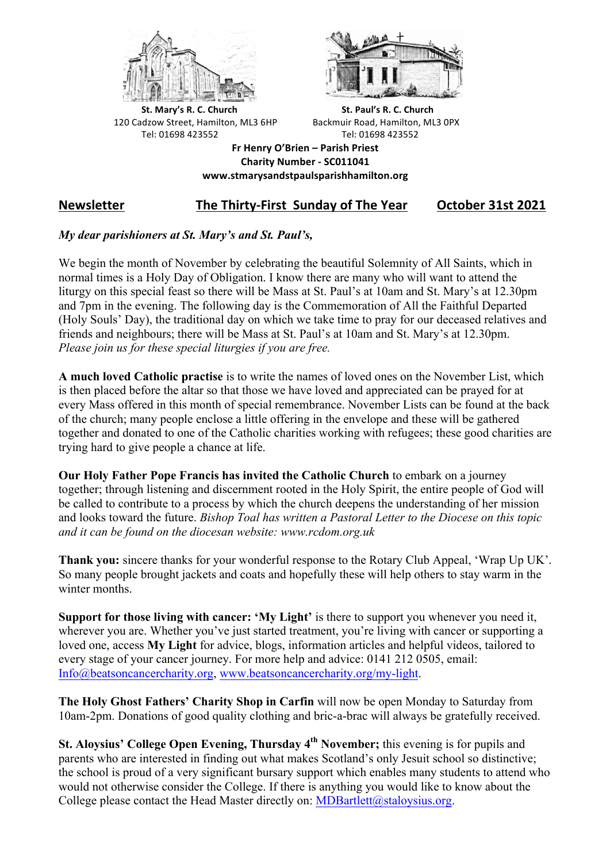



**St.** Mary's R. C. Church St. Paul's R. C. Church 120 Cadzow Street, Hamilton, ML3 6HP Backmuir Road, Hamilton, ML3 0PX Tel: 01698 423552 Tel: 01698 423552

**Fr Henry O'Brien – Parish Priest Charity Number - SC011041 www.stmarysandstpaulsparishhamilton.org**

# **Newsletter** The Thirty-First Sunday of The Year October 31st 2021

## *My dear parishioners at St. Mary's and St. Paul's,*

We begin the month of November by celebrating the beautiful Solemnity of All Saints, which in normal times is a Holy Day of Obligation. I know there are many who will want to attend the liturgy on this special feast so there will be Mass at St. Paul's at 10am and St. Mary's at 12.30pm and 7pm in the evening. The following day is the Commemoration of All the Faithful Departed (Holy Souls' Day), the traditional day on which we take time to pray for our deceased relatives and friends and neighbours; there will be Mass at St. Paul's at 10am and St. Mary's at 12.30pm. *Please join us for these special liturgies if you are free.*

**A much loved Catholic practise** is to write the names of loved ones on the November List, which is then placed before the altar so that those we have loved and appreciated can be prayed for at every Mass offered in this month of special remembrance. November Lists can be found at the back of the church; many people enclose a little offering in the envelope and these will be gathered together and donated to one of the Catholic charities working with refugees; these good charities are trying hard to give people a chance at life.

**Our Holy Father Pope Francis has invited the Catholic Church** to embark on a journey together; through listening and discernment rooted in the Holy Spirit, the entire people of God will be called to contribute to a process by which the church deepens the understanding of her mission and looks toward the future. *Bishop Toal has written a Pastoral Letter to the Diocese on this topic and it can be found on the diocesan website: www.rcdom.org.uk*

**Thank you:** sincere thanks for your wonderful response to the Rotary Club Appeal, 'Wrap Up UK'. So many people brought jackets and coats and hopefully these will help others to stay warm in the winter months.

**Support for those living with cancer: 'My Light'** is there to support you whenever you need it, wherever you are. Whether you've just started treatment, you're living with cancer or supporting a loved one, access **My Light** for advice, blogs, information articles and helpful videos, tailored to every stage of your cancer journey. For more help and advice: 0141 212 0505, email: Info@beatsoncancercharity.org, www.beatsoncancercharity.org/my-light.

**The Holy Ghost Fathers' Charity Shop in Carfin** will now be open Monday to Saturday from 10am-2pm. Donations of good quality clothing and bric-a-brac will always be gratefully received.

**St. Aloysius' College Open Evening, Thursday 4<sup>th</sup> November;** this evening is for pupils and parents who are interested in finding out what makes Scotland's only Jesuit school so distinctive; the school is proud of a very significant bursary support which enables many students to attend who would not otherwise consider the College. If there is anything you would like to know about the College please contact the Head Master directly on:  $MDBartlett@stalovsius.org$ .